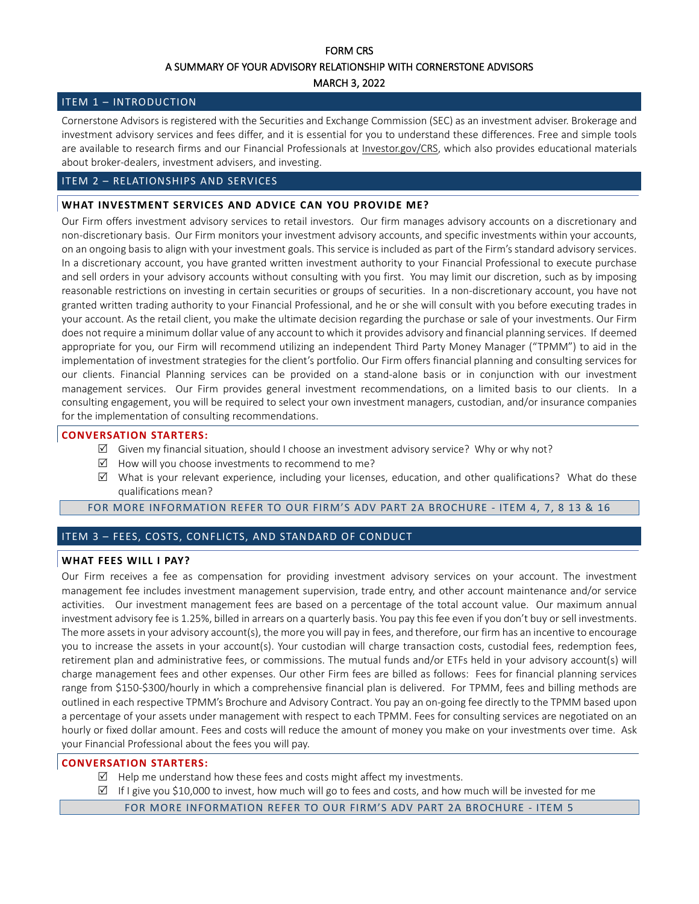# FORM CRS A SUMMARY OF YOUR ADVISORY RELATIONSHIP WITH CORNERSTONE ADVISORS

## MARCH 3, 2022

## ITEM 1 – INTRODUCTION

Cornerstone Advisors is registered with the Securities and Exchange Commission (SEC) as an investment adviser. Brokerage and investment advisory services and fees differ, and it is essential for you to understand these differences. Free and simple tools are available to research firms and our Financial Professionals at *Investor.gov/CRS*, which also provides educational materials about broker-dealers, investment advisers, and investing.

# ITEM 2 – RELATIONSHIPS AND SERVICES

# **WHAT INVESTMENT SERVICES AND ADVICE CAN YOU PROVIDE ME?**

Our Firm offers investment advisory services to retail investors. Our firm manages advisory accounts on a discretionary and non-discretionary basis. Our Firm monitors your investment advisory accounts, and specific investments within your accounts, on an ongoing basis to align with your investment goals. This service is included as part of the Firm's standard advisory services. In a discretionary account, you have granted written investment authority to your Financial Professional to execute purchase and sell orders in your advisory accounts without consulting with you first. You may limit our discretion, such as by imposing reasonable restrictions on investing in certain securities or groups of securities. In a non-discretionary account, you have not granted written trading authority to your Financial Professional, and he or she will consult with you before executing trades in your account. As the retail client, you make the ultimate decision regarding the purchase or sale of your investments. Our Firm does not require a minimum dollar value of any account to which it provides advisory and financial planning services. If deemed appropriate for you, our Firm will recommend utilizing an independent Third Party Money Manager ("TPMM") to aid in the implementation of investment strategies for the client's portfolio. Our Firm offers financial planning and consulting services for our clients. Financial Planning services can be provided on a stand-alone basis or in conjunction with our investment management services. Our Firm provides general investment recommendations, on a limited basis to our clients. In a consulting engagement, you will be required to select your own investment managers, custodian, and/or insurance companies for the implementation of consulting recommendations.

# **CONVERSATION STARTERS:**

- $\boxtimes$  Given my financial situation, should I choose an investment advisory service? Why or why not?
- $\boxtimes$  How will you choose investments to recommend to me?
- $\boxtimes$  What is your relevant experience, including your licenses, education, and other qualifications? What do these qualifications mean?

## FOR MORE INFORMATION REFER TO OUR FIRM'S ADV PART 2A BROCHURE - ITEM 4, 7, 8 13 & 16

# ITEM 3 – FEES, COSTS, CONFLICTS, AND STANDARD OF CONDUCT

#### **WHAT FEES WILL I PAY?**

Our Firm receives a fee as compensation for providing investment advisory services on your account. The investment management fee includes investment management supervision, trade entry, and other account maintenance and/or service activities. Our investment management fees are based on a percentage of the total account value. Our maximum annual investment advisory fee is 1.25%, billed in arrears on a quarterly basis. You pay thisfee even if you don't buy or sell investments. The more assets in your advisory account(s), the more you will pay in fees, and therefore, our firm has an incentive to encourage you to increase the assets in your account(s). Your custodian will charge transaction costs, custodial fees, redemption fees, retirement plan and administrative fees, or commissions. The mutual funds and/or ETFs held in your advisory account(s) will charge management fees and other expenses. Our other Firm fees are billed as follows: Fees for financial planning services range from \$150-\$300/hourly in which a comprehensive financial plan is delivered. For TPMM, fees and billing methods are outlined in each respective TPMM's Brochure and Advisory Contract. You pay an on-going fee directly to the TPMM based upon a percentage of your assets under management with respect to each TPMM. Fees for consulting services are negotiated on an hourly or fixed dollar amount. Fees and costs will reduce the amount of money you make on your investments over time. Ask your Financial Professional about the fees you will pay.

# **CONVERSATION STARTERS:**

- $\boxtimes$  Help me understand how these fees and costs might affect my investments.
- $\boxtimes$  If I give you \$10,000 to invest, how much will go to fees and costs, and how much will be invested for me

FOR MORE INFORMATION REFER TO OUR FIRM'S ADV PART 2A BROCHURE - ITEM 5